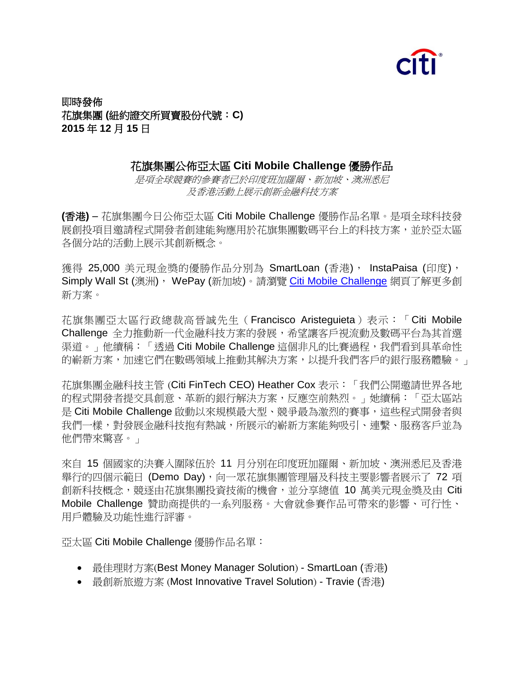

即時發佈 花旗集團 **(**紐約證交所買賣股份代號:**C) 2015** 年 **12** 月 **15** 日

## 花旗集團公佈亞太區 **Citi Mobile Challenge** 優勝作品

是項全球競賽的參賽者已於印度班加羅爾、新加坡、澳洲悉尼 及香港活動上展示創新金融科技方案

**(**香港**)** – 花旗集團今日公佈亞太區 Citi Mobile Challenge 優勝作品名單。是項全球科技發 展創投項目邀請程式開發者創建能夠應用於花旗集團數碼平台上的科技方案,並於亞太區 各個分站的活動上展示其創新概念。

獲得 25,000 美元現金獎的優勝作品分別為 SmartLoan (香港), InstaPaisa (印度), Simply Wall St (澳洲), WePay (新加坡)。請瀏覽 [Citi Mobile Challenge](http://www.citimobilechallenge.com/events/apac-2015/?section=awards) 網頁了解更多創 新方案。

花旗集團亞太區行政總裁高晉誠先生(Francisco Aristeguieta)表示:「Citi Mobile Challenge 全力推動新一代金融科技方案的發展,希望讓客戶視流動及數碼平台為其首選 渠道。」他續稱:「透過 Citi Mobile Challenge 這個非凡的比賽過程,我們看到具革命性 的嶄新方案,加速它們在數碼領域上推動其解決方案,以提升我們客戶的銀行服務體驗。」

花旗集團金融科技主管 (Citi FinTech CEO) Heather Cox 表示:「我們公開邀請世界各地 的程式開發者提交具創意、革新的銀行解決方案,反應空前熱烈。」她續稱:「亞太區站 是 Citi Mobile Challenge 啟動以來規模最大型、競爭最為激烈的賽事,這些程式開發者與 我們一樣,對發展金融科技抱有熱誠,所展示的嶄新方案能夠吸引、連繫、服務客戶並為 他們帶來驚喜。」

來自 15 個國家的決賽入圍隊伍於 11 月分別在印度班加羅爾、新加坡、澳洲悉尼及香港 舉行的四個示範日 (Demo Day),向一眾花旗集團管理層及科技主要影響者展示了 72 項 創新科技概念,競逐由花旗集團投資技術的機會,並分享總值 10 萬美元現金獎及由 Citi Mobile Challenge 贊助商提供的一系列服務。大會就參賽作品可帶來的影響、可行性、 用戶體驗及功能性進行評審。

亞太區 Citi Mobile Challenge 優勝作品名單:

- 最佳理財方案(Best Money Manager Solution) SmartLoan (香港)
- 最創新旅游方案 (Most Innovative Travel Solution) Travie (香港)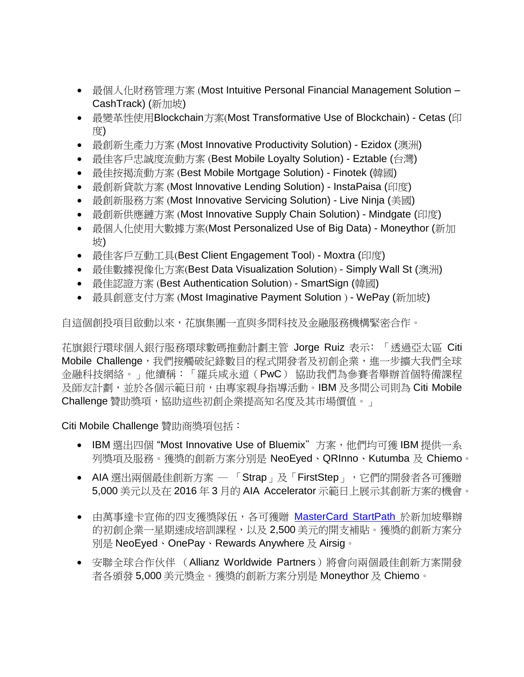- 最個人化財務管理方案 (Most Intuitive Personal Financial Management Solution CashTrack) (新加坡)
- 最變革性使用Blockchain方案(Most Transformative Use of Blockchain) Cetas (印 度)
- 最創新生產力方案 (Most Innovative Productivity Solution) Ezidox (澳洲)
- 最佳客戶忠誠度流動方案 (Best Mobile Loyalty Solution) Eztable (台灣)
- 最佳按揭流動方案 (Best Mobile Mortgage Solution) Finotek (韓國)
- 最創新貸款方案 (Most Innovative Lending Solution) InstaPaisa (印度)
- 最創新服務方案 (Most Innovative Servicing Solution) Live Ninja (美國)
- 最創新供應鏈方案 (Most Innovative Supply Chain Solution) Mindgate (印度)
- 最個人化使用大數據方案(Most Personalized Use of Big Data) Moneythor (新加 坡)
- 最佳客戶互動工具(Best Client Engagement Tool) Moxtra (印度)
- 最佳數據視像化方案(Best Data Visualization Solution) Simply Wall St (澳洲)
- 最佳認證方案 (Best Authentication Solution) SmartSign (韓國)
- 最具創意支付方案 (Most Imaginative Payment Solution) WePay (新加坡)

自這個創投項目啟動以來,花旗集團一直與多間科技及金融服務機構緊密合作。

花旗銀行環球個人銀行服務環球數碼推動計劃主管 Jorge Ruiz 表示﹕「透過亞太區 Citi Mobile Challenge,我們接觸破紀錄數目的程式開發者及初創企業,進一步擴大我們全球 金融科技網絡。」他續稱:「羅兵咸永道(PwC) 協助我們為參賽者舉辦首個特備課程 及師友計劃,並於各個示範日前,由專家親身指導活動。IBM 及多間公司則為 Citi Mobile Challenge 贊助獎項,協助這些初創企業提高知名度及其市場價值。」

Citi Mobile Challenge 贊助商獎項包括:

- IBM 選出四個 "Most Innovative Use of Bluemix"方案, 他們均可獲 IBM 提供一系 列獎項及服務。獲獎的創新方案分別是 NeoEyed、QRInno、Kutumba 及 Chiemo。
- AIA 選出兩個最佳創新方案 「Strap」及「FirstStep」, 它們的開發者各可獲贈 5,000 美元以及在 2016 年 3 月的 AIA Accelerator 示範日上展示其創新方案的機會。
- 由萬事達卡宣佈的四支獲獎隊伍,各可獲贈 [MasterCard StartPath](https://urldefense.proofpoint.com/v2/url?u=https-3A__www.startpath.com_&d=BQMFAg&c=j-EkbjBYwkAB4f8ZbVn1Fw&r=VwA-qEdrfCWSdb5EtwvR4ss229Gq1dpfzf7gGmTWdOo&m=GtEa-8woqWuUXWhdtGqWr1WyuHL6qQ-qvfVrQTcSLEY&s=lnJ9KWYDOy8q7isw3vqEl6_n87sQ6Ou5RLaLRBixUs8&e=) 於新加坡舉辦 的初創企業一星期速成培訓課程,以及 2,500 美元的開支補貼。獲獎的創新方案分 別是 NeoEyed、OnePay、Rewards Anywhere 及 Airsig。
- 安聯全球合作伙伴 (Allianz Worldwide Partners)將會向兩個最佳創新方案開發 者各頒發 5,000 美元獎金。獲獎的創新方案分別是 Moneythor 及 Chiemo。